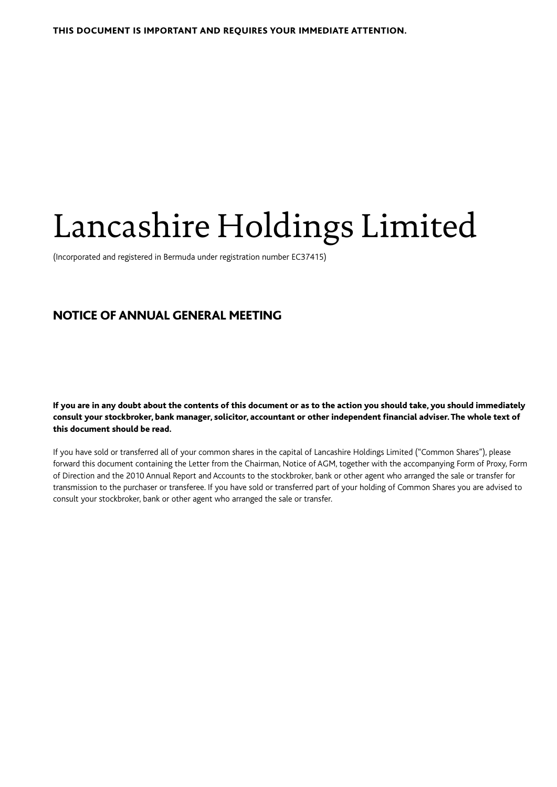# Lancashire Holdings Limited

(Incorporated and registered in Bermuda under registration number EC37415)

# NOTICE OF ANNUAL GENERAL MEETING

If you are in any doubt about the contents of this document or as to the action you should take, you should immediately consult your stockbroker, bank manager, solicitor, accountant or other independent financial adviser. The whole text of this document should be read.

If you have sold or transferred all of your common shares in the capital of Lancashire Holdings Limited ("Common Shares"), please forward this document containing the Letter from the Chairman, Notice of AGM, together with the accompanying Form of Proxy, Form of Direction and the 2010 Annual Report and Accounts to the stockbroker, bank or other agent who arranged the sale or transfer for transmission to the purchaser or transferee. If you have sold or transferred part of your holding of Common Shares you are advised to consult your stockbroker, bank or other agent who arranged the sale or transfer.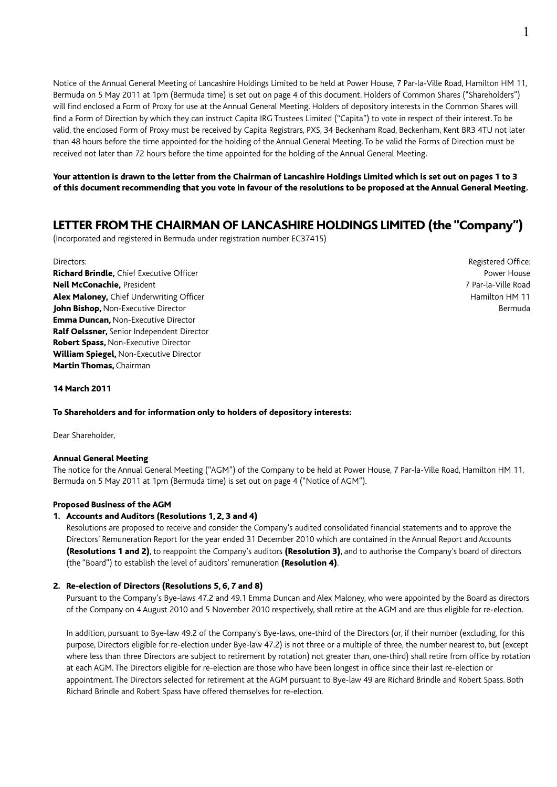Notice of the Annual General Meeting of Lancashire Holdings Limited to be held at Power House, 7 Par-la-Ville Road, Hamilton HM 11, Bermuda on 5 May 2011 at 1pm (Bermuda time) is set out on page 4 of this document. Holders of Common Shares ("Shareholders") will find enclosed a Form of Proxy for use at the Annual General Meeting. Holders of depository interests in the Common Shares will find a Form of Direction by which they can instruct Capita IRG Trustees Limited ("Capita") to vote in respect of their interest. To be valid, the enclosed Form of Proxy must be received by Capita Registrars, PXS, 34 Beckenham Road, Beckenham, Kent BR3 4TU not later than 48 hours before the time appointed for the holding of the Annual General Meeting. To be valid the Forms of Direction must be received not later than 72 hours before the time appointed for the holding of the Annual General Meeting.

Your attention is drawn to the letter from the Chairman of Lancashire Holdings Limited which is set out on pages 1 to 3 of this document recommending that you vote in favour of the resolutions to be proposed at the Annual General Meeting.

# LETTER FROM THE CHAIRMAN OF LANCASHIRE HOLDINGS LIMITED (the "Company")

(Incorporated and registered in Bermuda under registration number EC37415)

**Richard Brindle**. Chief Executive Officer **Power House** Power House **Power House** Power House Neil McConachie, President 7 Par-la-Ville Road Alex Maloney, Chief Underwriting Officer Hamilton HM 11 John Bishop, Non-Executive Director **Bermuda Bermuda Bermuda Bermuda Bermuda Bermuda Bermuda Bermuda** Emma Duncan, Non-Executive Director Ralf Oelssner, Senior Independent Director Robert Spass, Non-Executive Director William Spiegel, Non-Executive Director Martin Thomas, Chairman

Directors: Registered Office:

#### 14 March 2011

#### To Shareholders and for information only to holders of depository interests:

Dear Shareholder,

#### Annual General Meeting

The notice for the Annual General Meeting ("AGM") of the Company to be held at Power House, 7 Par-la-Ville Road, Hamilton HM 11, Bermuda on 5 May 2011 at 1pm (Bermuda time) is set out on page 4 ("Notice of AGM").

#### Proposed Business of the AGM

#### 1. Accounts and Auditors (Resolutions 1, 2, 3 and 4)

Resolutions are proposed to receive and consider the Company's audited consolidated financial statements and to approve the Directors' Remuneration Report for the year ended 31 December 2010 which are contained in the Annual Report and Accounts (Resolutions 1 and 2), to reappoint the Company's auditors (Resolution 3), and to authorise the Company's board of directors (the "Board") to establish the level of auditors' remuneration (Resolution 4).

#### 2. Re-election of Directors (Resolutions 5, 6, 7 and 8)

Pursuant to the Company's Bye-laws 47.2 and 49.1 Emma Duncan and Alex Maloney, who were appointed by the Board as directors of the Company on 4 August 2010 and 5 November 2010 respectively, shall retire at the AGM and are thus eligible for re-election.

 In addition, pursuant to Bye-law 49.2 of the Company's Bye-laws, one-third of the Directors (or, if their number (excluding, for this purpose, Directors eligible for re-election under Bye-law 47.2) is not three or a multiple of three, the number nearest to, but (except where less than three Directors are subject to retirement by rotation) not greater than, one-third) shall retire from office by rotation at each AGM. The Directors eligible for re-election are those who have been longest in office since their last re-election or appointment. The Directors selected for retirement at the AGM pursuant to Bye-law 49 are Richard Brindle and Robert Spass. Both Richard Brindle and Robert Spass have offered themselves for re-election.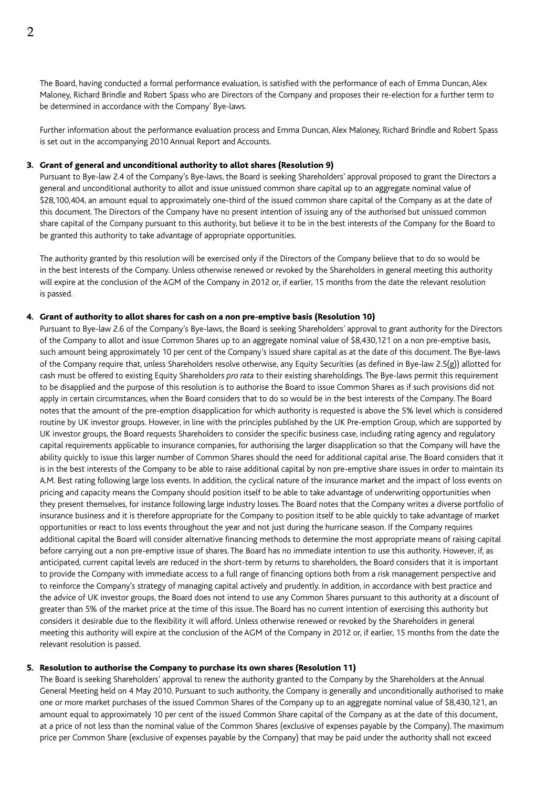The Board, having conducted a formal performance evaluation, is satisfied with the performance of each of Emma Duncan, Alex Maloney, Richard Brindle and Robert Spass who are Directors of the Company and proposes their re-election for a further term to be determined in accordance with the Company' Bye-laws.

 Further information about the performance evaluation process and Emma Duncan, Alex Maloney, Richard Brindle and Robert Spass is set out in the accompanying 2010 Annual Report and Accounts.

#### 3. Grant of general and unconditional authority to allot shares (Resolution 9)

Pursuant to Bye-law 2.4 of the Company's Bye-laws, the Board is seeking Shareholders' approval proposed to grant the Directors a general and unconditional authority to allot and issue unissued common share capital up to an aggregate nominal value of \$28,100,404, an amount equal to approximately one-third of the issued common share capital of the Company as at the date of this document. The Directors of the Company have no present intention of issuing any of the authorised but unissued common share capital of the Company pursuant to this authority, but believe it to be in the best interests of the Company for the Board to be granted this authority to take advantage of appropriate opportunities.

 The authority granted by this resolution will be exercised only if the Directors of the Company believe that to do so would be in the best interests of the Company. Unless otherwise renewed or revoked by the Shareholders in general meeting this authority will expire at the conclusion of the AGM of the Company in 2012 or, if earlier, 15 months from the date the relevant resolution is passed.

#### 4. Grant of authority to allot shares for cash on a non pre-emptive basis (Resolution 10)

Pursuant to Bye-law 2.6 of the Company's Bye-laws, the Board is seeking Shareholders' approval to grant authority for the Directors of the Company to allot and issue Common Shares up to an aggregate nominal value of \$8,430,121 on a non pre-emptive basis, such amount being approximately 10 per cent of the Company's issued share capital as at the date of this document. The Bye-laws of the Company require that, unless Shareholders resolve otherwise, any Equity Securities (as defined in Bye-law 2.5(g)) allotted for cash must be offered to existing Equity Shareholders *pro rata* to their existing shareholdings. The Bye-laws permit this requirement to be disapplied and the purpose of this resolution is to authorise the Board to issue Common Shares as if such provisions did not apply in certain circumstances, when the Board considers that to do so would be in the best interests of the Company. The Board notes that the amount of the pre-emption disapplication for which authority is requested is above the 5% level which is considered routine by UK investor groups. However, in line with the principles published by the UK Pre-emption Group, which are supported by UK investor groups, the Board requests Shareholders to consider the specific business case, including rating agency and regulatory capital requirements applicable to insurance companies, for authorising the larger disapplication so that the Company will have the ability quickly to issue this larger number of Common Shares should the need for additional capital arise. The Board considers that it is in the best interests of the Company to be able to raise additional capital by non pre-emptive share issues in order to maintain its A.M. Best rating following large loss events. In addition, the cyclical nature of the insurance market and the impact of loss events on pricing and capacity means the Company should position itself to be able to take advantage of underwriting opportunities when they present themselves, for instance following large industry losses. The Board notes that the Company writes a diverse portfolio of insurance business and it is therefore appropriate for the Company to position itself to be able quickly to take advantage of market opportunities or react to loss events throughout the year and not just during the hurricane season. If the Company requires additional capital the Board will consider alternative financing methods to determine the most appropriate means of raising capital before carrying out a non pre-emptive issue of shares. The Board has no immediate intention to use this authority. However, if, as anticipated, current capital levels are reduced in the short-term by returns to shareholders, the Board considers that it is important to provide the Company with immediate access to a full range of financing options both from a risk management perspective and to reinforce the Company's strategy of managing capital actively and prudently. In addition, in accordance with best practice and the advice of UK investor groups, the Board does not intend to use any Common Shares pursuant to this authority at a discount of greater than 5% of the market price at the time of this issue. The Board has no current intention of exercising this authority but considers it desirable due to the flexibility it will afford. Unless otherwise renewed or revoked by the Shareholders in general meeting this authority will expire at the conclusion of the AGM of the Company in 2012 or, if earlier, 15 months from the date the relevant resolution is passed.

#### 5. Resolution to authorise the Company to purchase its own shares (Resolution 11)

The Board is seeking Shareholders' approval to renew the authority granted to the Company by the Shareholders at the Annual General Meeting held on 4 May 2010. Pursuant to such authority, the Company is generally and unconditionally authorised to make one or more market purchases of the issued Common Shares of the Company up to an aggregate nominal value of \$8,430,121, an amount equal to approximately 10 per cent of the issued Common Share capital of the Company as at the date of this document, at a price of not less than the nominal value of the Common Shares (exclusive of expenses payable by the Company). The maximum price per Common Share (exclusive of expenses payable by the Company) that may be paid under the authority shall not exceed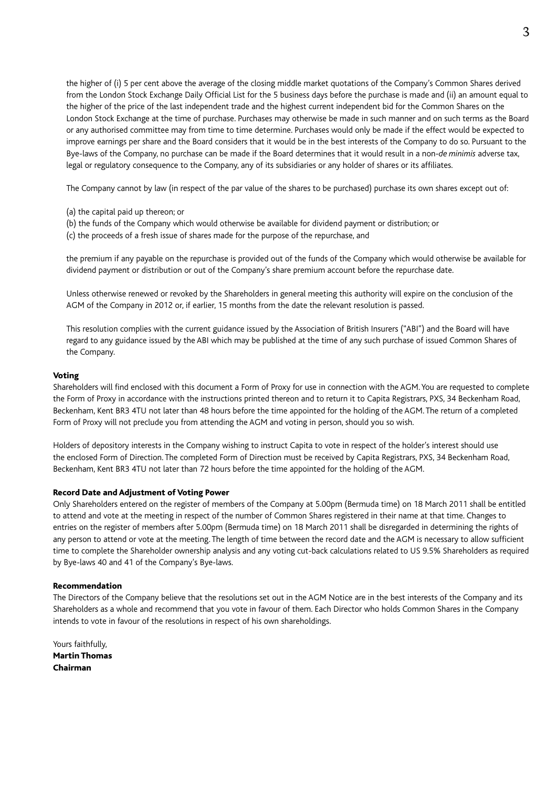the higher of (i) 5 per cent above the average of the closing middle market quotations of the Company's Common Shares derived from the London Stock Exchange Daily Official List for the 5 business days before the purchase is made and (ii) an amount equal to the higher of the price of the last independent trade and the highest current independent bid for the Common Shares on the London Stock Exchange at the time of purchase. Purchases may otherwise be made in such manner and on such terms as the Board or any authorised committee may from time to time determine. Purchases would only be made if the effect would be expected to improve earnings per share and the Board considers that it would be in the best interests of the Company to do so. Pursuant to the Bye-laws of the Company, no purchase can be made if the Board determines that it would result in a non-*de minimis* adverse tax, legal or regulatory consequence to the Company, any of its subsidiaries or any holder of shares or its affiliates.

The Company cannot by law (in respect of the par value of the shares to be purchased) purchase its own shares except out of:

- (a) the capital paid up thereon; or
- (b) the funds of the Company which would otherwise be available for dividend payment or distribution; or
- (c) the proceeds of a fresh issue of shares made for the purpose of the repurchase, and

 the premium if any payable on the repurchase is provided out of the funds of the Company which would otherwise be available for dividend payment or distribution or out of the Company's share premium account before the repurchase date.

 Unless otherwise renewed or revoked by the Shareholders in general meeting this authority will expire on the conclusion of the AGM of the Company in 2012 or, if earlier, 15 months from the date the relevant resolution is passed.

 This resolution complies with the current guidance issued by the Association of British Insurers ("ABI") and the Board will have regard to any guidance issued by the ABI which may be published at the time of any such purchase of issued Common Shares of the Company.

#### Voting

Shareholders will find enclosed with this document a Form of Proxy for use in connection with the AGM. You are requested to complete the Form of Proxy in accordance with the instructions printed thereon and to return it to Capita Registrars, PXS, 34 Beckenham Road, Beckenham, Kent BR3 4TU not later than 48 hours before the time appointed for the holding of the AGM. The return of a completed Form of Proxy will not preclude you from attending the AGM and voting in person, should you so wish.

Holders of depository interests in the Company wishing to instruct Capita to vote in respect of the holder's interest should use the enclosed Form of Direction. The completed Form of Direction must be received by Capita Registrars, PXS, 34 Beckenham Road, Beckenham, Kent BR3 4TU not later than 72 hours before the time appointed for the holding of the AGM.

#### Record Date and Adjustment of Voting Power

Only Shareholders entered on the register of members of the Company at 5.00pm (Bermuda time) on 18 March 2011 shall be entitled to attend and vote at the meeting in respect of the number of Common Shares registered in their name at that time. Changes to entries on the register of members after 5.00pm (Bermuda time) on 18 March 2011 shall be disregarded in determining the rights of any person to attend or vote at the meeting. The length of time between the record date and the AGM is necessary to allow sufficient time to complete the Shareholder ownership analysis and any voting cut-back calculations related to US 9.5% Shareholders as required by Bye-laws 40 and 41 of the Company's Bye-laws.

#### Recommendation

The Directors of the Company believe that the resolutions set out in the AGM Notice are in the best interests of the Company and its Shareholders as a whole and recommend that you vote in favour of them. Each Director who holds Common Shares in the Company intends to vote in favour of the resolutions in respect of his own shareholdings.

Yours faithfully, Martin Thomas Chairman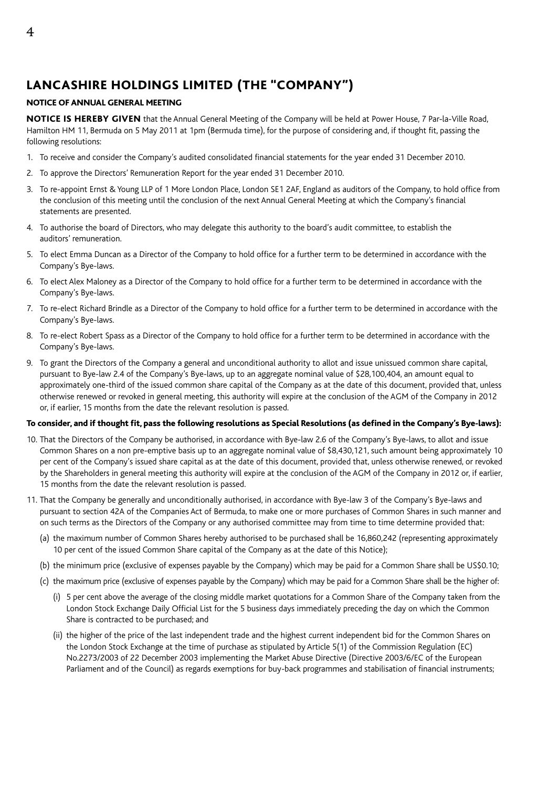# LANCASHIRE HOLDINGS LIMITED (THE "COMPANY")

### NOTICE OF ANNUAL GENERAL MEETING

NOTICE IS HEREBY GIVEN that the Annual General Meeting of the Company will be held at Power House, 7 Par-la-Ville Road, Hamilton HM 11, Bermuda on 5 May 2011 at 1pm (Bermuda time), for the purpose of considering and, if thought fit, passing the following resolutions:

- 1. To receive and consider the Company's audited consolidated financial statements for the year ended 31 December 2010.
- 2. To approve the Directors' Remuneration Report for the year ended 31 December 2010.
- 3. To re-appoint Ernst & Young LLP of 1 More London Place, London SE1 2AF, England as auditors of the Company, to hold office from the conclusion of this meeting until the conclusion of the next Annual General Meeting at which the Company's financial statements are presented.
- 4. To authorise the board of Directors, who may delegate this authority to the board's audit committee, to establish the auditors' remuneration.
- 5. To elect Emma Duncan as a Director of the Company to hold office for a further term to be determined in accordance with the Company's Bye-laws.
- 6. To elect Alex Maloney as a Director of the Company to hold office for a further term to be determined in accordance with the Company's Bye-laws.
- 7. To re-elect Richard Brindle as a Director of the Company to hold office for a further term to be determined in accordance with the Company's Bye-laws.
- 8. To re-elect Robert Spass as a Director of the Company to hold office for a further term to be determined in accordance with the Company's Bye-laws.
- 9. To grant the Directors of the Company a general and unconditional authority to allot and issue unissued common share capital, pursuant to Bye-law 2.4 of the Company's Bye-laws, up to an aggregate nominal value of \$28,100,404, an amount equal to approximately one-third of the issued common share capital of the Company as at the date of this document, provided that, unless otherwise renewed or revoked in general meeting, this authority will expire at the conclusion of the AGM of the Company in 2012 or, if earlier, 15 months from the date the relevant resolution is passed.

### To consider, and if thought fit, pass the following resolutions as Special Resolutions (as defined in the Company's Bye-laws):

- 10. That the Directors of the Company be authorised, in accordance with Bye-law 2.6 of the Company's Bye-laws, to allot and issue Common Shares on a non pre-emptive basis up to an aggregate nominal value of \$8,430,121, such amount being approximately 10 per cent of the Company's issued share capital as at the date of this document, provided that, unless otherwise renewed, or revoked by the Shareholders in general meeting this authority will expire at the conclusion of the AGM of the Company in 2012 or, if earlier, 15 months from the date the relevant resolution is passed.
- 11. That the Company be generally and unconditionally authorised, in accordance with Bye-law 3 of the Company's Bye-laws and pursuant to section 42A of the Companies Act of Bermuda, to make one or more purchases of Common Shares in such manner and on such terms as the Directors of the Company or any authorised committee may from time to time determine provided that:
	- (a) the maximum number of Common Shares hereby authorised to be purchased shall be 16,860,242 (representing approximately 10 per cent of the issued Common Share capital of the Company as at the date of this Notice);
	- (b) the minimum price (exclusive of expenses payable by the Company) which may be paid for a Common Share shall be US\$0.10;
	- (c) the maximum price (exclusive of expenses payable by the Company) which may be paid for a Common Share shall be the higher of:
		- (i) 5 per cent above the average of the closing middle market quotations for a Common Share of the Company taken from the London Stock Exchange Daily Official List for the 5 business days immediately preceding the day on which the Common Share is contracted to be purchased; and
		- (ii) the higher of the price of the last independent trade and the highest current independent bid for the Common Shares on the London Stock Exchange at the time of purchase as stipulated by Article 5(1) of the Commission Regulation (EC) No.2273/2003 of 22 December 2003 implementing the Market Abuse Directive (Directive 2003/6/EC of the European Parliament and of the Council) as regards exemptions for buy-back programmes and stabilisation of financial instruments;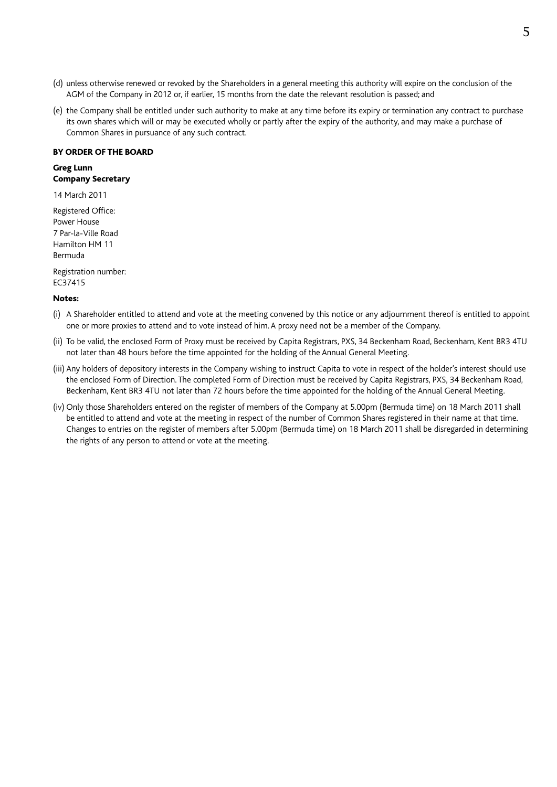- (d) unless otherwise renewed or revoked by the Shareholders in a general meeting this authority will expire on the conclusion of the AGM of the Company in 2012 or, if earlier, 15 months from the date the relevant resolution is passed; and
- (e) the Company shall be entitled under such authority to make at any time before its expiry or termination any contract to purchase its own shares which will or may be executed wholly or partly after the expiry of the authority, and may make a purchase of Common Shares in pursuance of any such contract.

#### BY ORDER OF THE BOARD

### Greg Lunn Company Secretary

14 March 2011

Registered Office: Power House 7 Par-la-Ville Road Hamilton HM 11 Bermuda

Registration number: EC37415

#### Notes:

- (i) A Shareholder entitled to attend and vote at the meeting convened by this notice or any adjournment thereof is entitled to appoint one or more proxies to attend and to vote instead of him. A proxy need not be a member of the Company.
- (ii) To be valid, the enclosed Form of Proxy must be received by Capita Registrars, PXS, 34 Beckenham Road, Beckenham, Kent BR3 4TU not later than 48 hours before the time appointed for the holding of the Annual General Meeting.
- (iii) Any holders of depository interests in the Company wishing to instruct Capita to vote in respect of the holder's interest should use the enclosed Form of Direction. The completed Form of Direction must be received by Capita Registrars, PXS, 34 Beckenham Road, Beckenham, Kent BR3 4TU not later than 72 hours before the time appointed for the holding of the Annual General Meeting.
- (iv) Only those Shareholders entered on the register of members of the Company at 5.00pm (Bermuda time) on 18 March 2011 shall be entitled to attend and vote at the meeting in respect of the number of Common Shares registered in their name at that time. Changes to entries on the register of members after 5.00pm (Bermuda time) on 18 March 2011 shall be disregarded in determining the rights of any person to attend or vote at the meeting.